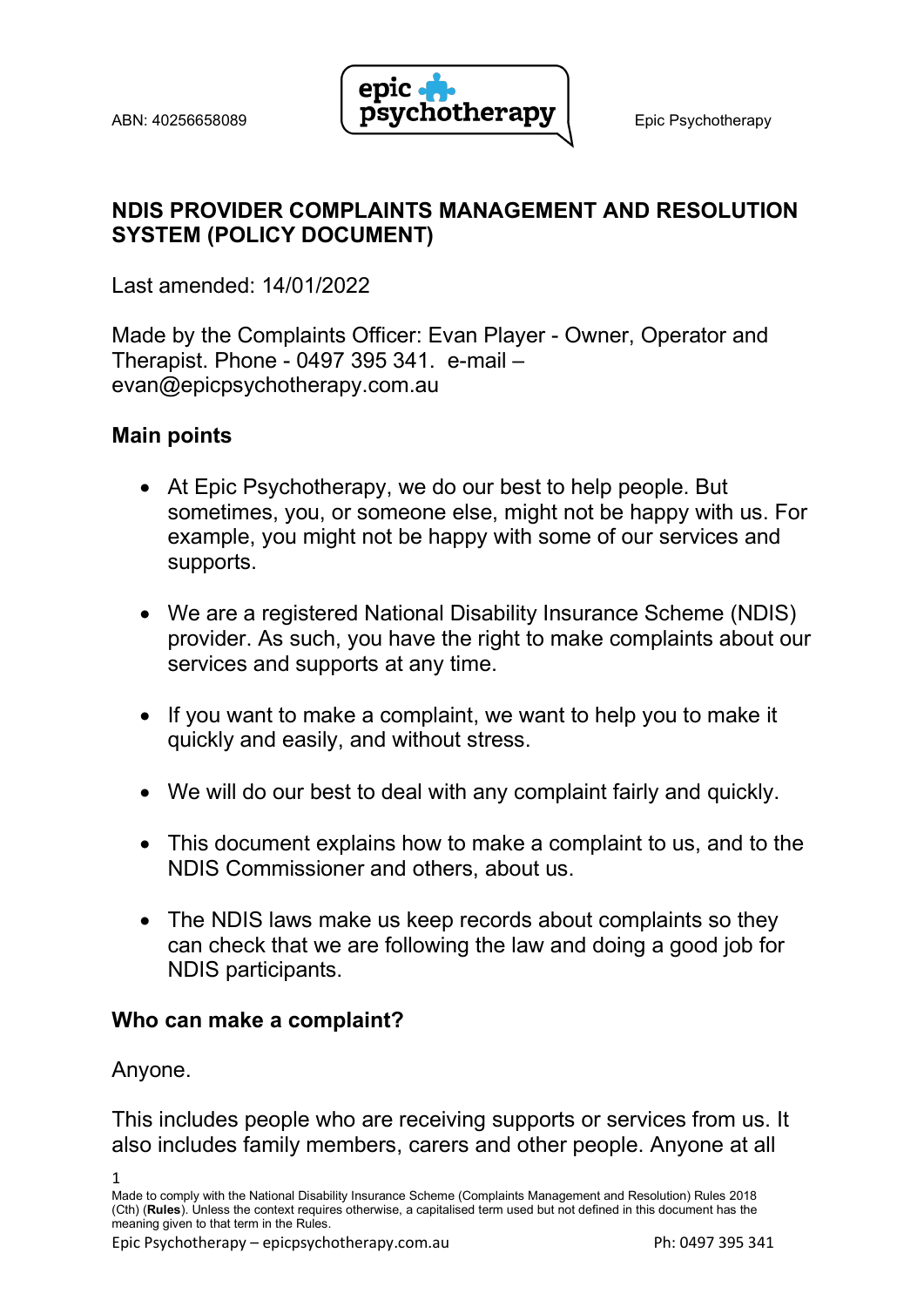

## NDIS PROVIDER COMPLAINTS MANAGEMENT AND RESOLUTION SYSTEM (POLICY DOCUMENT)

Last amended: 14/01/2022

Made by the Complaints Officer: Evan Player - Owner, Operator and Therapist. Phone - 0497 395 341. e-mail – evan@epicpsychotherapy.com.au

# Main points

- At Epic Psychotherapy, we do our best to help people. But sometimes, you, or someone else, might not be happy with us. For example, you might not be happy with some of our services and supports.
- We are a registered National Disability Insurance Scheme (NDIS) provider. As such, you have the right to make complaints about our services and supports at any time.
- If you want to make a complaint, we want to help you to make it quickly and easily, and without stress.
- We will do our best to deal with any complaint fairly and quickly.
- This document explains how to make a complaint to us, and to the NDIS Commissioner and others, about us.
- The NDIS laws make us keep records about complaints so they can check that we are following the law and doing a good job for NDIS participants.

## Who can make a complaint?

Anyone.

This includes people who are receiving supports or services from us. It also includes family members, carers and other people. Anyone at all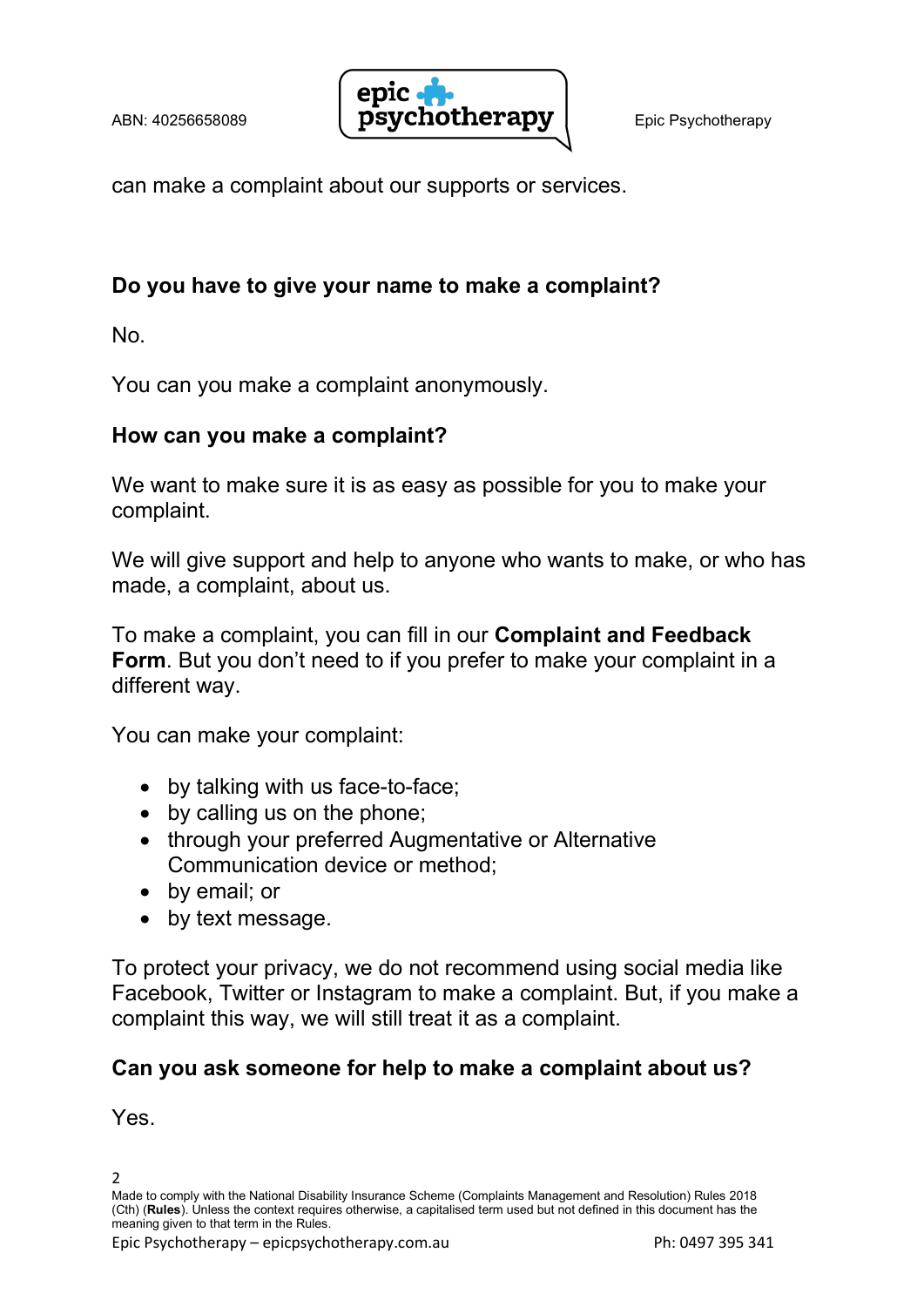

can make a complaint about our supports or services.

## Do you have to give your name to make a complaint?

No.

You can you make a complaint anonymously.

### How can you make a complaint?

We want to make sure it is as easy as possible for you to make your complaint.

We will give support and help to anyone who wants to make, or who has made, a complaint, about us.

To make a complaint, you can fill in our Complaint and Feedback Form. But you don't need to if you prefer to make your complaint in a different way.

You can make your complaint:

- by talking with us face-to-face;
- by calling us on the phone;
- through your preferred Augmentative or Alternative Communication device or method;
- by email: or
- by text message.

To protect your privacy, we do not recommend using social media like Facebook, Twitter or Instagram to make a complaint. But, if you make a complaint this way, we will still treat it as a complaint.

# Can you ask someone for help to make a complaint about us?

Yes.

 $\overline{2}$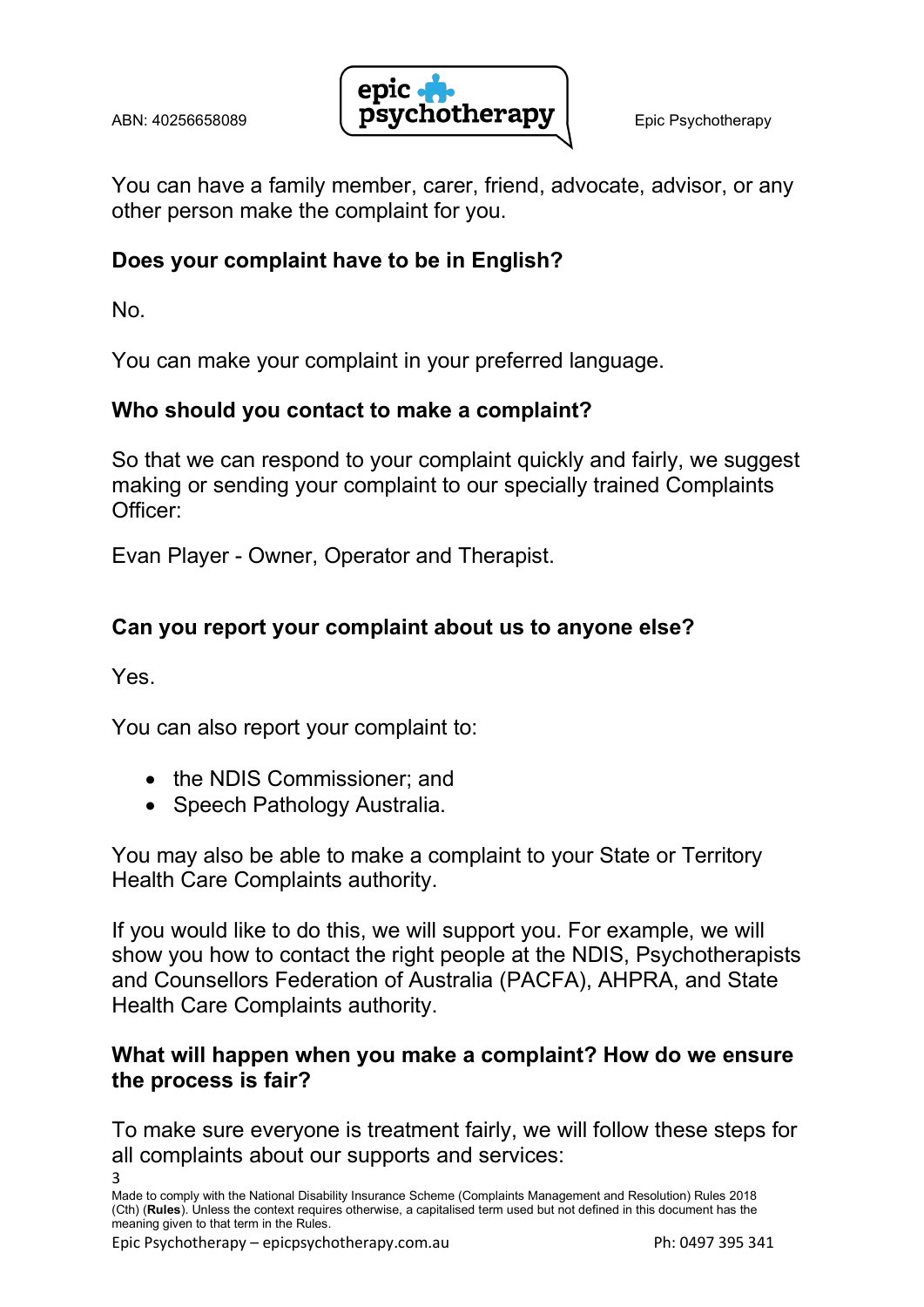

You can have a family member, carer, friend, advocate, advisor, or any other person make the complaint for you.

# Does your complaint have to be in English?

No.

You can make your complaint in your preferred language.

# Who should you contact to make a complaint?

So that we can respond to your complaint quickly and fairly, we suggest making or sending your complaint to our specially trained Complaints Officer:

Evan Player - Owner, Operator and Therapist.

# Can you report your complaint about us to anyone else?

Yes.

3

You can also report your complaint to:

- the NDIS Commissioner: and
- Speech Pathology Australia.

You may also be able to make a complaint to your State or Territory Health Care Complaints authority.

If you would like to do this, we will support you. For example, we will show you how to contact the right people at the NDIS, Psychotherapists and Counsellors Federation of Australia (PACFA), AHPRA, and State Health Care Complaints authority.

### What will happen when you make a complaint? How do we ensure the process is fair?

To make sure everyone is treatment fairly, we will follow these steps for all complaints about our supports and services:

Made to comply with the National Disability Insurance Scheme (Complaints Management and Resolution) Rules 2018 (Cth) (Rules). Unless the context requires otherwise, a capitalised term used but not defined in this document has the meaning given to that term in the Rules.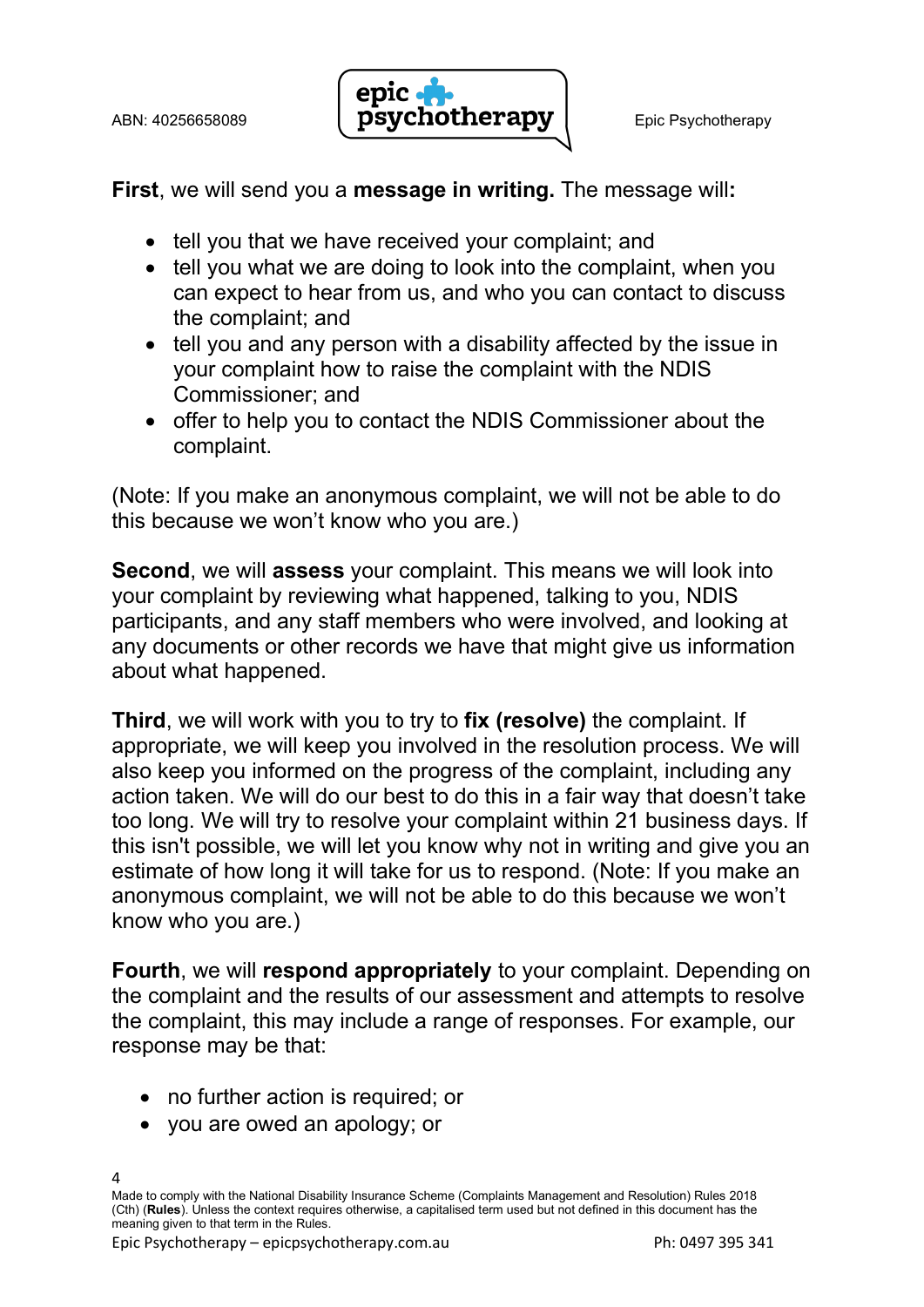

First, we will send you a message in writing. The message will:

- tell you that we have received your complaint; and
- tell you what we are doing to look into the complaint, when you can expect to hear from us, and who you can contact to discuss the complaint; and
- tell you and any person with a disability affected by the issue in your complaint how to raise the complaint with the NDIS Commissioner; and
- offer to help you to contact the NDIS Commissioner about the complaint.

(Note: If you make an anonymous complaint, we will not be able to do this because we won't know who you are.)

Second, we will assess your complaint. This means we will look into your complaint by reviewing what happened, talking to you, NDIS participants, and any staff members who were involved, and looking at any documents or other records we have that might give us information about what happened.

Third, we will work with you to try to fix (resolve) the complaint. If appropriate, we will keep you involved in the resolution process. We will also keep you informed on the progress of the complaint, including any action taken. We will do our best to do this in a fair way that doesn't take too long. We will try to resolve your complaint within 21 business days. If this isn't possible, we will let you know why not in writing and give you an estimate of how long it will take for us to respond. (Note: If you make an anonymous complaint, we will not be able to do this because we won't know who you are.)

Fourth, we will respond appropriately to your complaint. Depending on the complaint and the results of our assessment and attempts to resolve the complaint, this may include a range of responses. For example, our response may be that:

- no further action is required; or
- you are owed an apology; or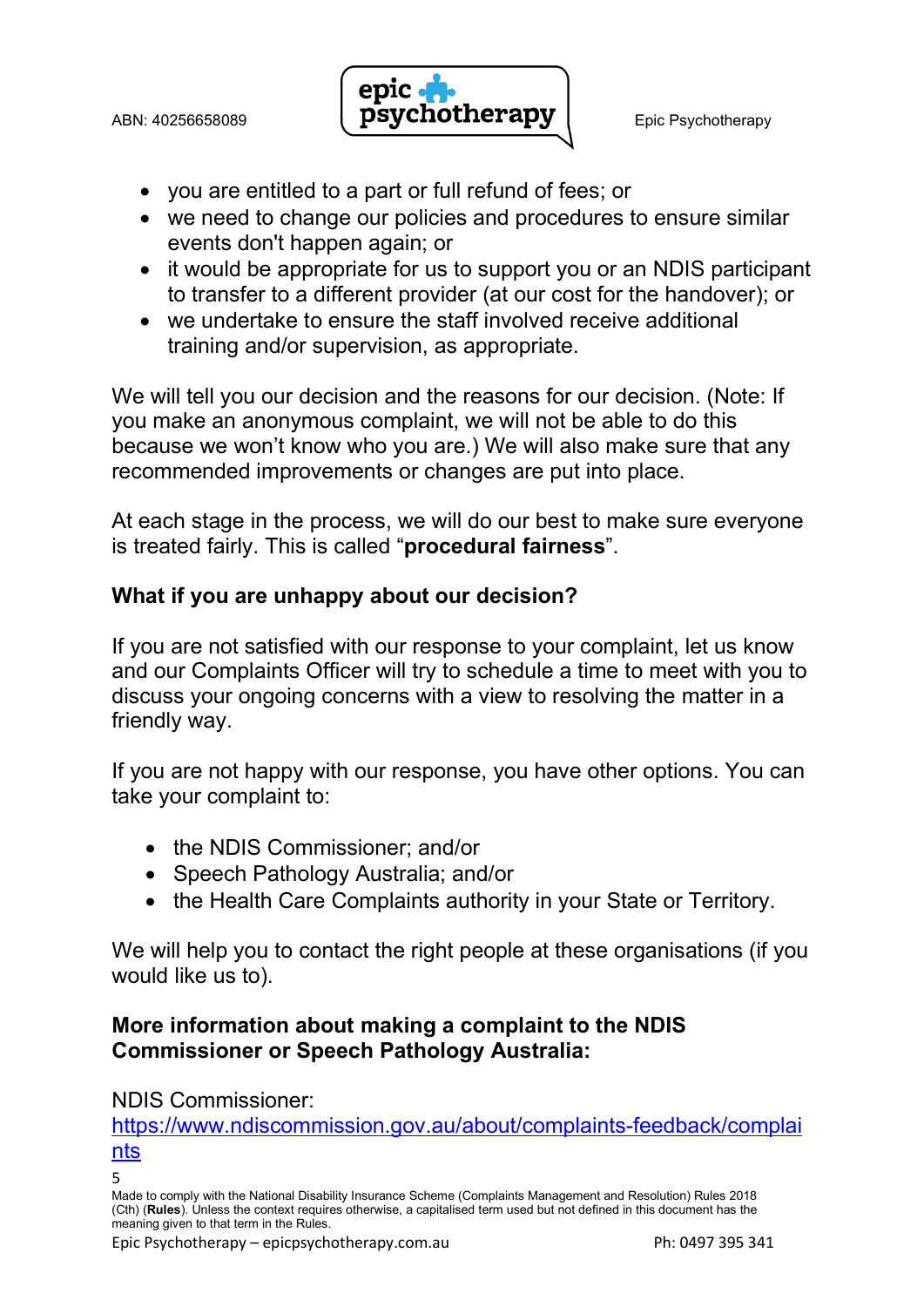

- you are entitled to a part or full refund of fees; or
- we need to change our policies and procedures to ensure similar events don't happen again; or
- it would be appropriate for us to support you or an NDIS participant to transfer to a different provider (at our cost for the handover); or
- we undertake to ensure the staff involved receive additional training and/or supervision, as appropriate.

We will tell you our decision and the reasons for our decision. (Note: If you make an anonymous complaint, we will not be able to do this because we won't know who you are.) We will also make sure that any recommended improvements or changes are put into place.

At each stage in the process, we will do our best to make sure everyone is treated fairly. This is called "procedural fairness".

## What if you are unhappy about our decision?

If you are not satisfied with our response to your complaint, let us know and our Complaints Officer will try to schedule a time to meet with you to discuss your ongoing concerns with a view to resolving the matter in a friendly way.

If you are not happy with our response, you have other options. You can take your complaint to:

- the NDIS Commissioner; and/or
- Speech Pathology Australia: and/or
- the Health Care Complaints authority in your State or Territory.

We will help you to contact the right people at these organisations (if you would like us to).

## More information about making a complaint to the NDIS Commissioner or Speech Pathology Australia:

#### NDIS Commissioner:

https://www.ndiscommission.gov.au/about/complaints-feedback/complai nts

<sup>5</sup>

Made to comply with the National Disability Insurance Scheme (Complaints Management and Resolution) Rules 2018 (Cth) (Rules). Unless the context requires otherwise, a capitalised term used but not defined in this document has the meaning given to that term in the Rules.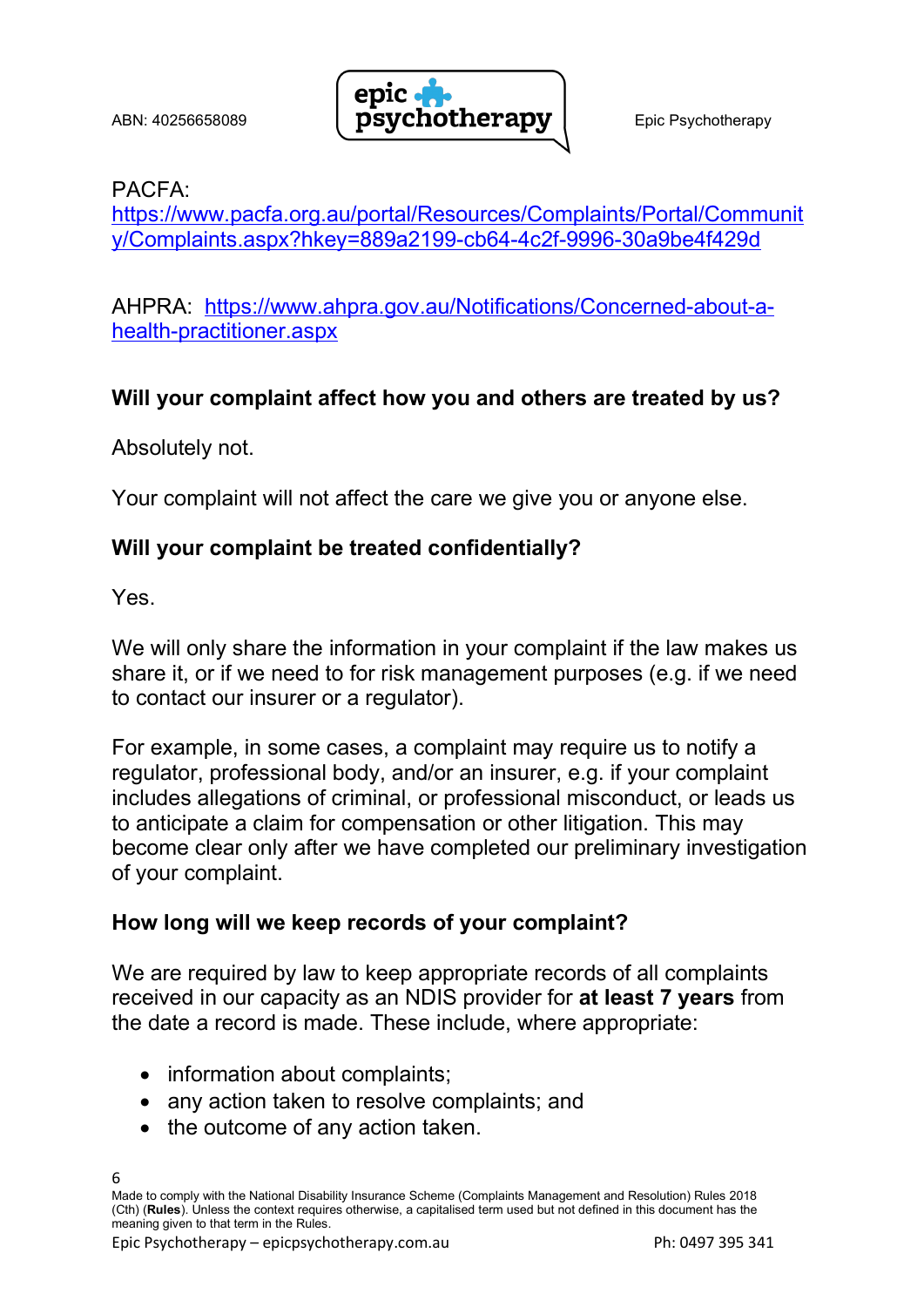

### PACFA:

https://www.pacfa.org.au/portal/Resources/Complaints/Portal/Communit y/Complaints.aspx?hkey=889a2199-cb64-4c2f-9996-30a9be4f429d

AHPRA: https://www.ahpra.gov.au/Notifications/Concerned-about-ahealth-practitioner.aspx

## Will your complaint affect how you and others are treated by us?

Absolutely not.

Your complaint will not affect the care we give you or anyone else.

### Will your complaint be treated confidentially?

Yes.

We will only share the information in your complaint if the law makes us share it, or if we need to for risk management purposes (e.g. if we need to contact our insurer or a regulator).

For example, in some cases, a complaint may require us to notify a regulator, professional body, and/or an insurer, e.g. if your complaint includes allegations of criminal, or professional misconduct, or leads us to anticipate a claim for compensation or other litigation. This may become clear only after we have completed our preliminary investigation of your complaint.

## How long will we keep records of your complaint?

We are required by law to keep appropriate records of all complaints received in our capacity as an NDIS provider for at least 7 years from the date a record is made. These include, where appropriate:

- information about complaints;
- any action taken to resolve complaints; and
- the outcome of any action taken.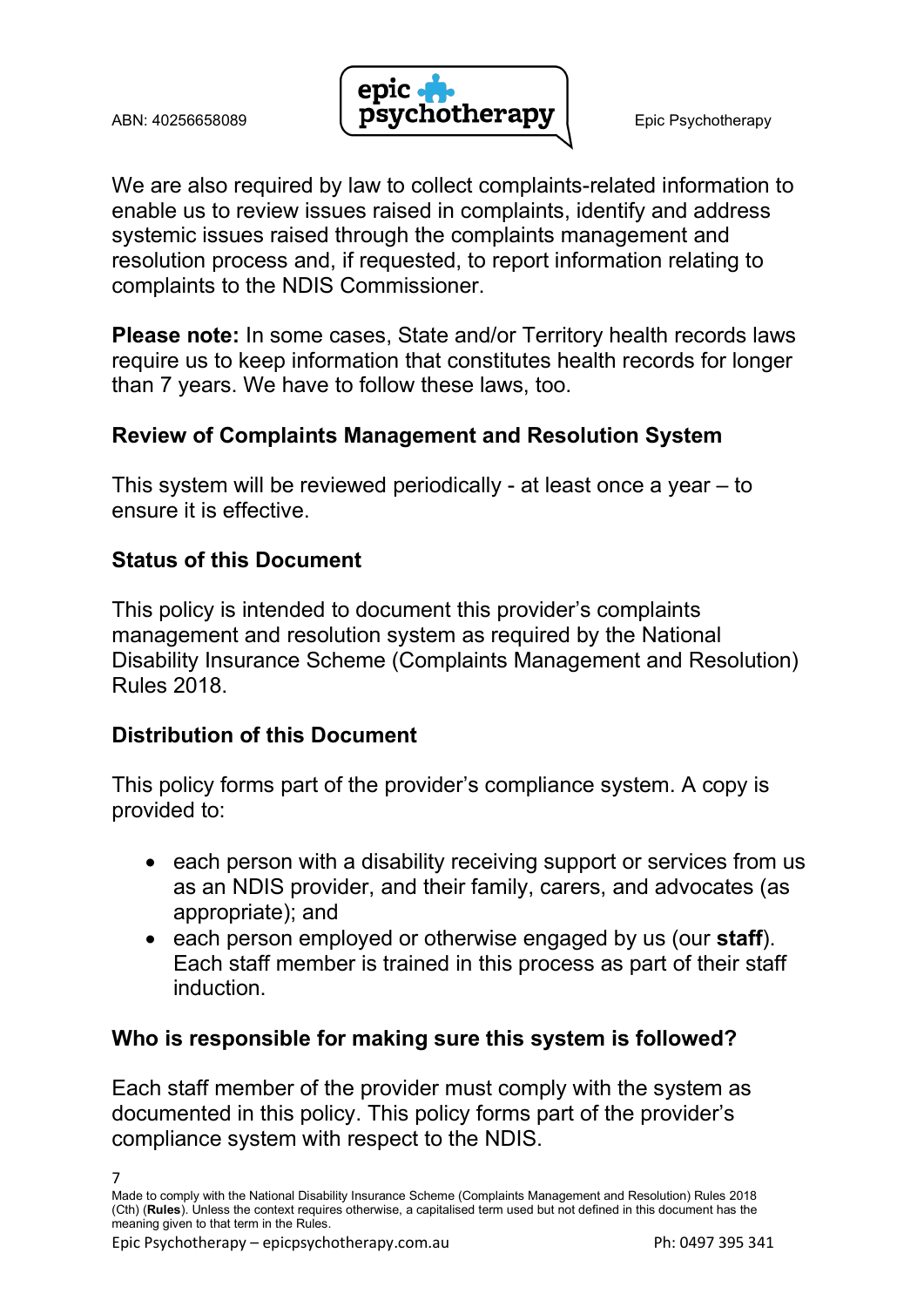

We are also required by law to collect complaints-related information to enable us to review issues raised in complaints, identify and address systemic issues raised through the complaints management and resolution process and, if requested, to report information relating to complaints to the NDIS Commissioner.

Please note: In some cases, State and/or Territory health records laws require us to keep information that constitutes health records for longer than 7 years. We have to follow these laws, too.

# Review of Complaints Management and Resolution System

This system will be reviewed periodically - at least once a year – to ensure it is effective.

# Status of this Document

This policy is intended to document this provider's complaints management and resolution system as required by the National Disability Insurance Scheme (Complaints Management and Resolution) Rules 2018.

## Distribution of this Document

This policy forms part of the provider's compliance system. A copy is provided to:

- each person with a disability receiving support or services from us as an NDIS provider, and their family, carers, and advocates (as appropriate); and
- each person employed or otherwise engaged by us (our staff). Each staff member is trained in this process as part of their staff induction.

#### Who is responsible for making sure this system is followed?

Each staff member of the provider must comply with the system as documented in this policy. This policy forms part of the provider's compliance system with respect to the NDIS.